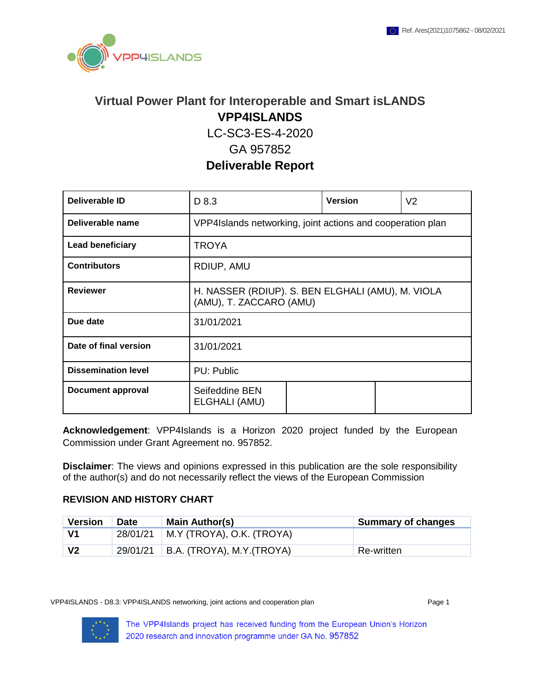

# **Virtual Power Plant for Interoperable and Smart isLANDS VPP4ISLANDS**

LC-SC3-ES-4-2020

### GA 957852

**Deliverable Report**

| Deliverable ID             | D 8.3                                                                        | <b>Version</b> | V <sub>2</sub> |  |  |  |
|----------------------------|------------------------------------------------------------------------------|----------------|----------------|--|--|--|
| Deliverable name           | VPP4Islands networking, joint actions and cooperation plan                   |                |                |  |  |  |
| <b>Lead beneficiary</b>    | <b>TROYA</b>                                                                 |                |                |  |  |  |
| <b>Contributors</b>        | RDIUP, AMU                                                                   |                |                |  |  |  |
| <b>Reviewer</b>            | H. NASSER (RDIUP). S. BEN ELGHALI (AMU), M. VIOLA<br>(AMU), T. ZACCARO (AMU) |                |                |  |  |  |
| Due date                   | 31/01/2021                                                                   |                |                |  |  |  |
| Date of final version      | 31/01/2021                                                                   |                |                |  |  |  |
| <b>Dissemination level</b> | PU: Public                                                                   |                |                |  |  |  |
| <b>Document approval</b>   | Seifeddine BEN<br>ELGHALI (AMU)                                              |                |                |  |  |  |

**Acknowledgement**: VPP4Islands is a Horizon 2020 project funded by the European Commission under Grant Agreement no. 957852.

**Disclaimer**: The views and opinions expressed in this publication are the sole responsibility of the author(s) and do not necessarily reflect the views of the European Commission

#### **REVISION AND HISTORY CHART**

| <b>Version</b> | <b>Date</b> | <b>Main Author(s)</b>      | <b>Summary of changes</b> |
|----------------|-------------|----------------------------|---------------------------|
| V1             | 28/01/21    | M.Y (TROYA), O.K. (TROYA)  |                           |
| V <sub>2</sub> | 29/01/21    | B.A. (TROYA), M.Y. (TROYA) | Re-written                |

VPP4ISLANDS - D8.3: VPP4ISLANDS networking, joint actions and cooperation plan Page 1

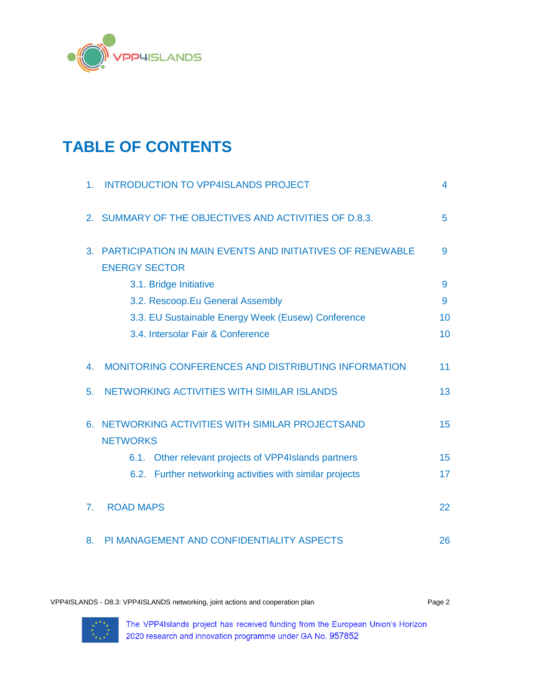

# **TABLE OF CONTENTS**

| 1 <sub>1</sub> | <b>INTRODUCTION TO VPP4ISLANDS PROJECT</b>                                               | 4  |
|----------------|------------------------------------------------------------------------------------------|----|
|                | 2. SUMMARY OF THE OBJECTIVES AND ACTIVITIES OF D.8.3.                                    | 5  |
| 3.             | <b>PARTICIPATION IN MAIN EVENTS AND INITIATIVES OF RENEWABLE</b><br><b>ENERGY SECTOR</b> | 9  |
|                | 3.1. Bridge Initiative                                                                   | 9  |
|                | 3.2. Rescoop.Eu General Assembly                                                         | 9  |
|                | 3.3. EU Sustainable Energy Week (Eusew) Conference                                       | 10 |
|                | 3.4. Intersolar Fair & Conference                                                        | 10 |
|                |                                                                                          |    |
| 4.             | MONITORING CONFERENCES AND DISTRIBUTING INFORMATION                                      | 11 |
| 5.             | NETWORKING ACTIVITIES WITH SIMILAR ISLANDS                                               | 13 |
|                |                                                                                          |    |
| 6.             | NETWORKING ACTIVITIES WITH SIMILAR PROJECTSAND                                           | 15 |
|                | <b>NETWORKS</b>                                                                          |    |
|                | 6.1. Other relevant projects of VPP4Islands partners                                     | 15 |
|                | 6.2. Further networking activities with similar projects                                 | 17 |
|                |                                                                                          |    |
| 7 <sub>1</sub> | <b>ROAD MAPS</b>                                                                         | 22 |
|                |                                                                                          |    |
| 8.             | PI MANAGEMENT AND CONFIDENTIALITY ASPECTS                                                | 26 |

VPP4ISLANDS - D8.3: VPP4ISLANDS networking, joint actions and cooperation plan Page 2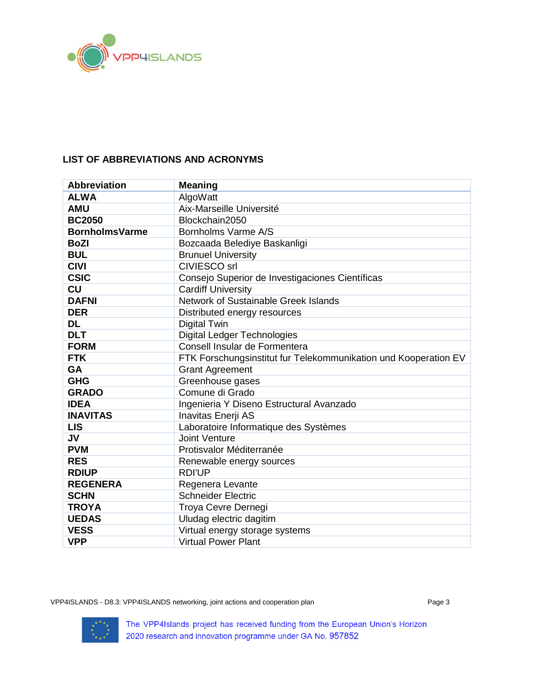

### **LIST OF ABBREVIATIONS AND ACRONYMS**

| <b>Abbreviation</b>   | <b>Meaning</b>                                                  |
|-----------------------|-----------------------------------------------------------------|
| <b>ALWA</b>           | AlgoWatt                                                        |
| <b>AMU</b>            | Aix-Marseille Université                                        |
| <b>BC2050</b>         | Blockchain2050                                                  |
| <b>BornholmsVarme</b> | Bornholms Varme A/S                                             |
| <b>BoZI</b>           | Bozcaada Belediye Baskanligi                                    |
| <b>BUL</b>            | <b>Brunuel University</b>                                       |
| <b>CIVI</b>           | <b>CIVIESCO</b> srl                                             |
| <b>CSIC</b>           | Consejo Superior de Investigaciones Científicas                 |
| <b>CU</b>             | <b>Cardiff University</b>                                       |
| <b>DAFNI</b>          | Network of Sustainable Greek Islands                            |
| <b>DER</b>            | Distributed energy resources                                    |
| <b>DL</b>             | <b>Digital Twin</b>                                             |
| <b>DLT</b>            | <b>Digital Ledger Technologies</b>                              |
| <b>FORM</b>           | Consell Insular de Formentera                                   |
| <b>FTK</b>            | FTK Forschungsinstitut fur Telekommunikation und Kooperation EV |
| <b>GA</b>             | <b>Grant Agreement</b>                                          |
| <b>GHG</b>            | Greenhouse gases                                                |
| <b>GRADO</b>          | Comune di Grado                                                 |
| <b>IDEA</b>           | Ingenieria Y Diseno Estructural Avanzado                        |
| <b>INAVITAS</b>       | Inavitas Enerji AS                                              |
| <b>LIS</b>            | Laboratoire Informatique des Systèmes                           |
| <b>JV</b>             | <b>Joint Venture</b>                                            |
| <b>PVM</b>            | Protisvalor Méditerranée                                        |
| <b>RES</b>            | Renewable energy sources                                        |
| <b>RDIUP</b>          | <b>RDI'UP</b>                                                   |
| <b>REGENERA</b>       | Regenera Levante                                                |
| <b>SCHN</b>           | <b>Schneider Electric</b>                                       |
| <b>TROYA</b>          | Troya Cevre Dernegi                                             |
| <b>UEDAS</b>          | Uludag electric dagitim                                         |
| <b>VESS</b>           | Virtual energy storage systems                                  |
| <b>VPP</b>            | <b>Virtual Power Plant</b>                                      |

VPP4ISLANDS - D8.3: VPP4ISLANDS networking, joint actions and cooperation plan Page 3

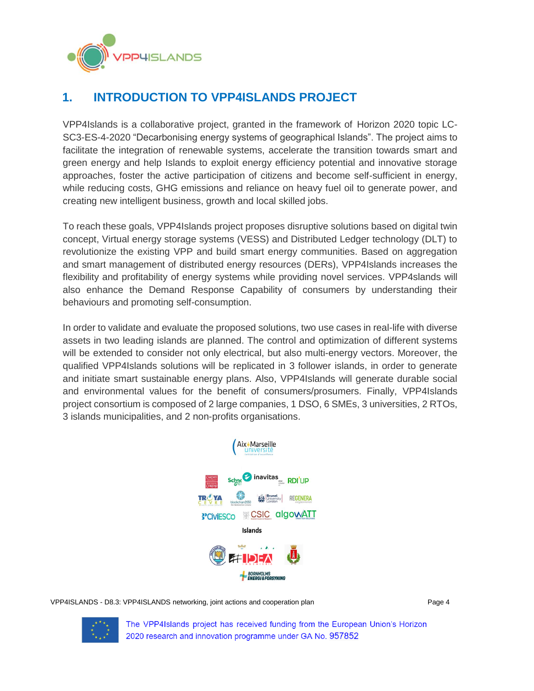

# <span id="page-3-0"></span>**1. INTRODUCTION TO VPP4ISLANDS PROJECT**

VPP4Islands is a collaborative project, granted in the framework of Horizon 2020 topic LC-SC3-ES-4-2020 "Decarbonising energy systems of geographical Islands". The project aims to facilitate the integration of renewable systems, accelerate the transition towards smart and green energy and help Islands to exploit energy efficiency potential and innovative storage approaches, foster the active participation of citizens and become self-sufficient in energy, while reducing costs, GHG emissions and reliance on heavy fuel oil to generate power, and creating new intelligent business, growth and local skilled jobs.

To reach these goals, VPP4Islands project proposes disruptive solutions based on digital twin concept, Virtual energy storage systems (VESS) and Distributed Ledger technology (DLT) to revolutionize the existing VPP and build smart energy communities. Based on aggregation and smart management of distributed energy resources (DERs), VPP4Islands increases the flexibility and profitability of energy systems while providing novel services. VPP4slands will also enhance the Demand Response Capability of consumers by understanding their behaviours and promoting self-consumption.

In order to validate and evaluate the proposed solutions, two use cases in real-life with diverse assets in two leading islands are planned. The control and optimization of different systems will be extended to consider not only electrical, but also multi-energy vectors. Moreover, the qualified VPP4Islands solutions will be replicated in 3 follower islands, in order to generate and initiate smart sustainable energy plans. Also, VPP4Islands will generate durable social and environmental values for the benefit of consumers/prosumers. Finally, VPP4Islands project consortium is composed of 2 large companies, 1 DSO, 6 SMEs, 3 universities, 2 RTOs, 3 islands municipalities, and 2 non-profits organisations.



VPP4ISLANDS - D8.3: VPP4ISLANDS networking, joint actions and cooperation plan Page 4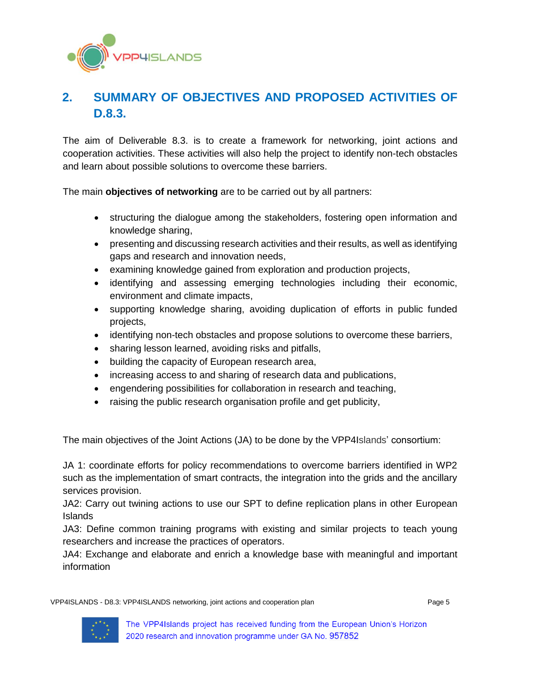

# <span id="page-4-0"></span>**2. SUMMARY OF OBJECTIVES AND PROPOSED ACTIVITIES OF D.8.3.**

The aim of Deliverable 8.3. is to create a framework for networking, joint actions and cooperation activities. These activities will also help the project to identify non-tech obstacles and learn about possible solutions to overcome these barriers.

The main **objectives of networking** are to be carried out by all partners:

- structuring the dialogue among the stakeholders, fostering open information and knowledge sharing,
- presenting and discussing research activities and their results, as well as identifying gaps and research and innovation needs,
- examining knowledge gained from exploration and production projects,
- identifying and assessing emerging technologies including their economic, environment and climate impacts,
- supporting knowledge sharing, avoiding duplication of efforts in public funded projects,
- identifying non-tech obstacles and propose solutions to overcome these barriers,
- sharing lesson learned, avoiding risks and pitfalls,
- building the capacity of European research area,
- increasing access to and sharing of research data and publications,
- engendering possibilities for collaboration in research and teaching,
- raising the public research organisation profile and get publicity,

The main objectives of the Joint Actions (JA) to be done by the VPP4Islands' consortium:

JA 1: coordinate efforts for policy recommendations to overcome barriers identified in WP2 such as the implementation of smart contracts, the integration into the grids and the ancillary services provision.

JA2: Carry out twining actions to use our SPT to define replication plans in other European Islands

JA3: Define common training programs with existing and similar projects to teach young researchers and increase the practices of operators.

JA4: Exchange and elaborate and enrich a knowledge base with meaningful and important information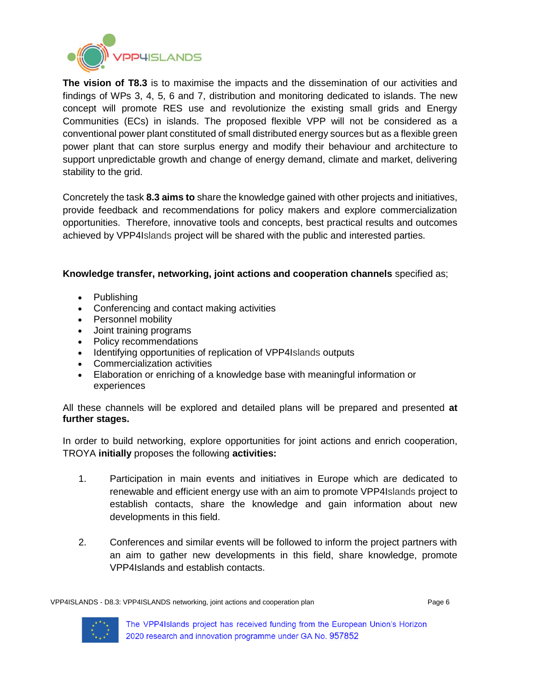

**The vision of T8.3** is to maximise the impacts and the dissemination of our activities and findings of WPs 3, 4, 5, 6 and 7, distribution and monitoring dedicated to islands. The new concept will promote RES use and revolutionize the existing small grids and Energy Communities (ECs) in islands. The proposed flexible VPP will not be considered as a conventional power plant constituted of small distributed energy sources but as a flexible green power plant that can store surplus energy and modify their behaviour and architecture to support unpredictable growth and change of energy demand, climate and market, delivering stability to the grid.

Concretely the task **8.3 aims to** share the knowledge gained with other projects and initiatives, provide feedback and recommendations for policy makers and explore commercialization opportunities. Therefore, innovative tools and concepts, best practical results and outcomes achieved by VPP4Islands project will be shared with the public and interested parties.

#### **Knowledge transfer, networking, joint actions and cooperation channels** specified as;

- Publishing
- Conferencing and contact making activities
- Personnel mobility
- Joint training programs
- Policy recommendations
- Identifying opportunities of replication of VPP4Islands outputs
- Commercialization activities
- Elaboration or enriching of a knowledge base with meaningful information or experiences

All these channels will be explored and detailed plans will be prepared and presented **at further stages.** 

In order to build networking, explore opportunities for joint actions and enrich cooperation, TROYA **initially** proposes the following **activities:**

- 1. Participation in main events and initiatives in Europe which are dedicated to renewable and efficient energy use with an aim to promote VPP4Islands project to establish contacts, share the knowledge and gain information about new developments in this field.
- 2. Conferences and similar events will be followed to inform the project partners with an aim to gather new developments in this field, share knowledge, promote VPP4Islands and establish contacts.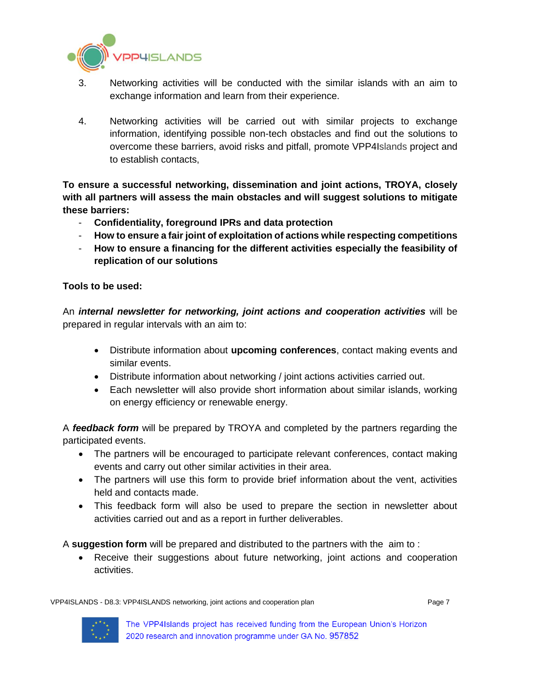

- 3. Networking activities will be conducted with the similar islands with an aim to exchange information and learn from their experience.
- 4. Networking activities will be carried out with similar projects to exchange information, identifying possible non-tech obstacles and find out the solutions to overcome these barriers, avoid risks and pitfall, promote VPP4Islands project and to establish contacts,

**To ensure a successful networking, dissemination and joint actions, TROYA, closely with all partners will assess the main obstacles and will suggest solutions to mitigate these barriers:**

- **Confidentiality, foreground IPRs and data protection**
- **How to ensure a fair joint of exploitation of actions while respecting competitions**
- **How to ensure a financing for the different activities especially the feasibility of replication of our solutions**

#### **Tools to be used:**

An *internal newsletter for networking, joint actions and cooperation activities* will be prepared in regular intervals with an aim to:

- Distribute information about **upcoming conferences**, contact making events and similar events.
- Distribute information about networking / joint actions activities carried out.
- Each newsletter will also provide short information about similar islands, working on energy efficiency or renewable energy.

A *feedback form* will be prepared by TROYA and completed by the partners regarding the participated events.

- The partners will be encouraged to participate relevant conferences, contact making events and carry out other similar activities in their area.
- The partners will use this form to provide brief information about the vent, activities held and contacts made.
- This feedback form will also be used to prepare the section in newsletter about activities carried out and as a report in further deliverables.

A **suggestion form** will be prepared and distributed to the partners with the aim to :

• Receive their suggestions about future networking, joint actions and cooperation activities.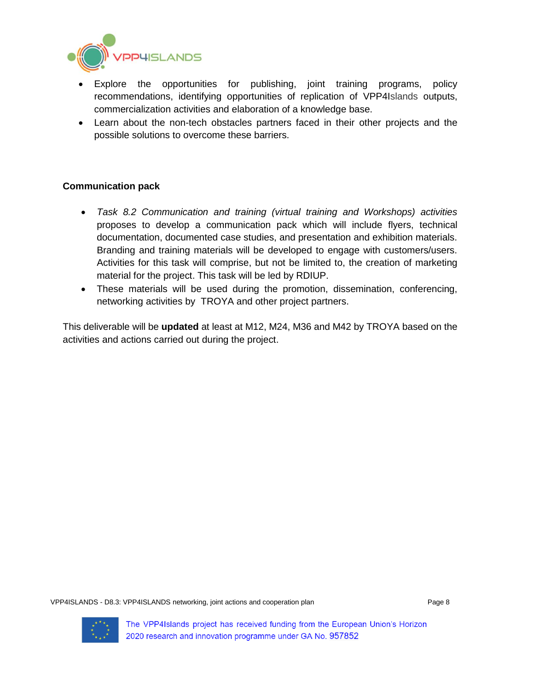

- Explore the opportunities for publishing, joint training programs, policy recommendations, identifying opportunities of replication of VPP4Islands outputs, commercialization activities and elaboration of a knowledge base.
- Learn about the non-tech obstacles partners faced in their other projects and the possible solutions to overcome these barriers.

#### **Communication pack**

- *Task 8.2 Communication and training (virtual training and Workshops) activities* proposes to develop a communication pack which will include flyers, technical documentation, documented case studies, and presentation and exhibition materials. Branding and training materials will be developed to engage with customers/users. Activities for this task will comprise, but not be limited to, the creation of marketing material for the project. This task will be led by RDIUP.
- These materials will be used during the promotion, dissemination, conferencing, networking activities by TROYA and other project partners.

This deliverable will be **updated** at least at M12, M24, M36 and M42 by TROYA based on the activities and actions carried out during the project.

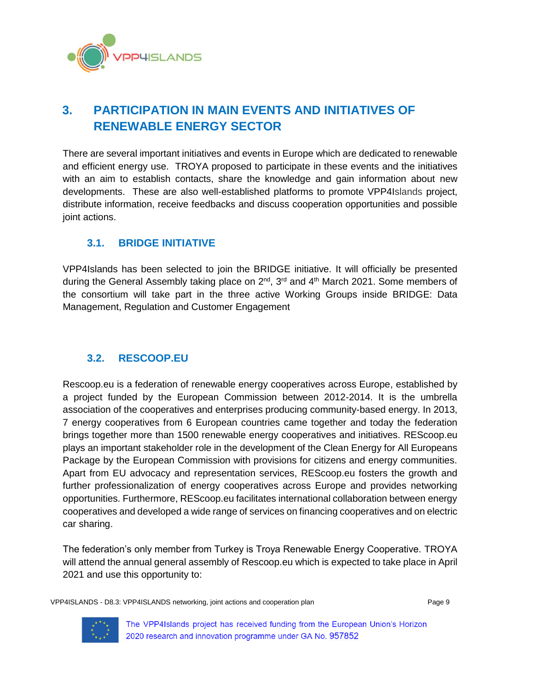

# <span id="page-8-0"></span>**3. PARTICIPATION IN MAIN EVENTS AND INITIATIVES OF RENEWABLE ENERGY SECTOR**

There are several important initiatives and events in Europe which are dedicated to renewable and efficient energy use. TROYA proposed to participate in these events and the initiatives with an aim to establish contacts, share the knowledge and gain information about new developments. These are also well-established platforms to promote VPP4Islands project, distribute information, receive feedbacks and discuss cooperation opportunities and possible joint actions.

## <span id="page-8-1"></span>**3.1. BRIDGE INITIATIVE**

VPP4Islands has been selected to join the BRIDGE initiative. It will officially be presented during the General Assembly taking place on 2<sup>nd</sup>, 3<sup>rd</sup> and 4<sup>th</sup> March 2021. Some members of the consortium will take part in the three active Working Groups inside BRIDGE: Data Management, Regulation and Customer Engagement

## <span id="page-8-2"></span>**3.2. RESCOOP.EU**

Rescoop.eu is a federation of renewable energy cooperatives across Europe, established by a project funded by the European Commission between 2012-2014. It is the umbrella association of the cooperatives and enterprises producing community-based energy. In 2013, 7 energy cooperatives from 6 European countries came together and today the federation brings together more than 1500 renewable energy cooperatives and initiatives. REScoop.eu plays an important stakeholder role in the development of the Clean Energy for All Europeans Package by the European Commission with provisions for citizens and energy communities. Apart from EU advocacy and representation services, REScoop.eu fosters the growth and further professionalization of energy cooperatives across Europe and provides networking opportunities. Furthermore, REScoop.eu facilitates international collaboration between energy cooperatives and developed a wide range of services on financing cooperatives and on electric car sharing.

The federation's only member from Turkey is Troya Renewable Energy Cooperative. TROYA will attend the annual general assembly of Rescoop.eu which is expected to take place in April 2021 and use this opportunity to: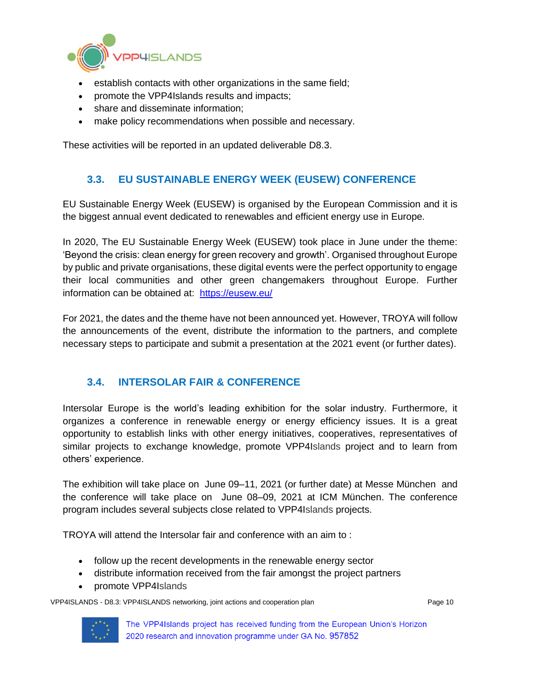

- establish contacts with other organizations in the same field;
- promote the VPP4Islands results and impacts;
- share and disseminate information;
- make policy recommendations when possible and necessary.

These activities will be reported in an updated deliverable D8.3.

### **3.3. EU SUSTAINABLE ENERGY WEEK (EUSEW) CONFERENCE**

<span id="page-9-0"></span>EU Sustainable Energy Week (EUSEW) is organised by the European Commission and it is the biggest annual event dedicated to renewables and efficient energy use in Europe.

In 2020, The EU Sustainable Energy Week (EUSEW) took place in June under the theme: 'Beyond the crisis: clean energy for green recovery and growth'. Organised throughout Europe by public and private organisations, these digital events were the perfect opportunity to engage their local communities and other green changemakers throughout Europe. Further information can be obtained at: <https://eusew.eu/>

For 2021, the dates and the theme have not been announced yet. However, TROYA will follow the announcements of the event, distribute the information to the partners, and complete necessary steps to participate and submit a presentation at the 2021 event (or further dates).

### <span id="page-9-1"></span>**3.4. INTERSOLAR FAIR & CONFERENCE**

Intersolar Europe is the world's leading exhibition for the solar industry. Furthermore, it organizes a conference in renewable energy or energy efficiency issues. It is a great opportunity to establish links with other energy initiatives, cooperatives, representatives of similar projects to exchange knowledge, promote VPP4Islands project and to learn from others' experience.

The exhibition will take place on June 09–11, 2021 (or further date) at Messe München and the conference will take place on June 08–09, 2021 at ICM München. The conference program includes several subjects close related to VPP4Islands projects.

TROYA will attend the Intersolar fair and conference with an aim to :

- follow up the recent developments in the renewable energy sector
- distribute information received from the fair amongst the project partners
- promote VPP4Islands

VPP4ISLANDS - D8.3: VPP4ISLANDS networking, joint actions and cooperation plan Page 10

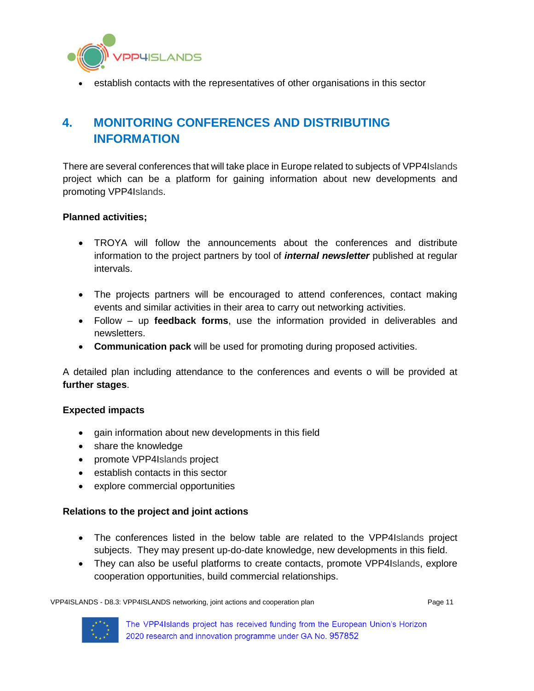

• establish contacts with the representatives of other organisations in this sector

# <span id="page-10-0"></span>**4. MONITORING CONFERENCES AND DISTRIBUTING INFORMATION**

There are several conferences that will take place in Europe related to subjects of VPP4Islands project which can be a platform for gaining information about new developments and promoting VPP4Islands.

#### **Planned activities;**

- TROYA will follow the announcements about the conferences and distribute information to the project partners by tool of *internal newsletter* published at regular intervals.
- The projects partners will be encouraged to attend conferences, contact making events and similar activities in their area to carry out networking activities.
- Follow up **feedback forms**, use the information provided in deliverables and newsletters.
- **Communication pack** will be used for promoting during proposed activities.

A detailed plan including attendance to the conferences and events o will be provided at **further stages**.

#### **Expected impacts**

- gain information about new developments in this field
- share the knowledge
- promote VPP4Islands project
- establish contacts in this sector
- explore commercial opportunities

#### **Relations to the project and joint actions**

- The conferences listed in the below table are related to the VPP4Islands project subjects. They may present up-do-date knowledge, new developments in this field.
- They can also be useful platforms to create contacts, promote VPP4Islands, explore cooperation opportunities, build commercial relationships.

VPP4ISLANDS - D8.3: VPP4ISLANDS networking, joint actions and cooperation plan Page 11 Page 11

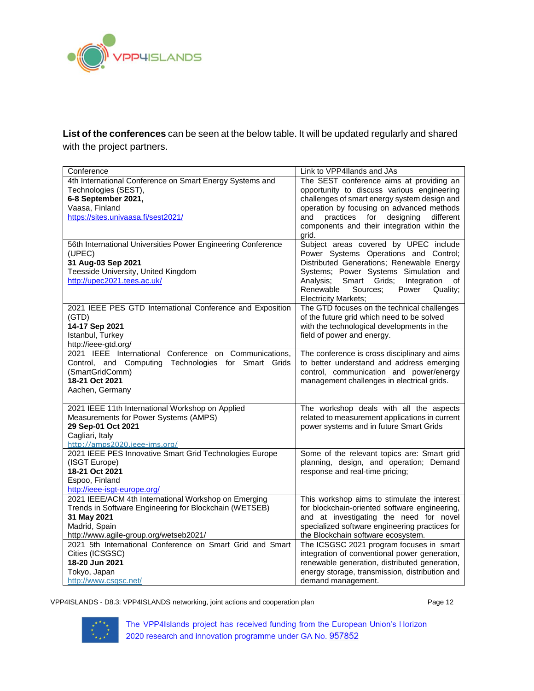

**List of the conferences** can be seen at the below table. It will be updated regularly and shared with the project partners.

| Conference                                                             | Link to VPP4Ilands and JAs                                                           |
|------------------------------------------------------------------------|--------------------------------------------------------------------------------------|
| 4th International Conference on Smart Energy Systems and               | The SEST conference aims at providing an                                             |
| Technologies (SEST),                                                   | opportunity to discuss various engineering                                           |
| 6-8 September 2021,                                                    | challenges of smart energy system design and                                         |
| Vaasa, Finland                                                         | operation by focusing on advanced methods                                            |
| https://sites.univaasa.fi/sest2021/                                    | and<br>practices for designing<br>different                                          |
|                                                                        | components and their integration within the                                          |
|                                                                        | grid.                                                                                |
| 56th International Universities Power Engineering Conference           | Subject areas covered by UPEC include                                                |
| (UPEC)                                                                 | Power Systems Operations and Control;                                                |
| 31 Aug-03 Sep 2021                                                     | Distributed Generations; Renewable Energy                                            |
| Teesside University, United Kingdom                                    | Systems; Power Systems Simulation and                                                |
| http://upec2021.tees.ac.uk/                                            | Analysis;<br>Smart Grids;<br>Integration<br>of                                       |
|                                                                        | Renewable<br>Sources:<br>Power<br>Quality;                                           |
|                                                                        | <b>Electricity Markets;</b>                                                          |
| 2021 IEEE PES GTD International Conference and Exposition              | The GTD focuses on the technical challenges                                          |
| (GTD)                                                                  | of the future grid which need to be solved                                           |
| 14-17 Sep 2021                                                         | with the technological developments in the                                           |
| Istanbul, Turkey                                                       | field of power and energy.                                                           |
| http://ieee-gtd.org/                                                   |                                                                                      |
| 2021 IEEE International Conference on Communications,                  | The conference is cross disciplinary and aims                                        |
| Control, and Computing Technologies for Smart Grids<br>(SmartGridComm) | to better understand and address emerging<br>control, communication and power/energy |
| 18-21 Oct 2021                                                         | management challenges in electrical grids.                                           |
| Aachen, Germany                                                        |                                                                                      |
|                                                                        |                                                                                      |
| 2021 IEEE 11th International Workshop on Applied                       | The workshop deals with all the aspects                                              |
| Measurements for Power Systems (AMPS)                                  | related to measurement applications in current                                       |
| 29 Sep-01 Oct 2021                                                     | power systems and in future Smart Grids                                              |
| Cagliari, Italy                                                        |                                                                                      |
| http://amps2020.ieee-ims.org/                                          |                                                                                      |
| 2021 IEEE PES Innovative Smart Grid Technologies Europe                | Some of the relevant topics are: Smart grid                                          |
| (ISGT Europe)                                                          | planning, design, and operation; Demand                                              |
| 18-21 Oct 2021                                                         | response and real-time pricing;                                                      |
| Espoo, Finland                                                         |                                                                                      |
| http://ieee-isgt-europe.org/                                           |                                                                                      |
| 2021 IEEE/ACM 4th International Workshop on Emerging                   | This workshop aims to stimulate the interest                                         |
| Trends in Software Engineering for Blockchain (WETSEB)                 | for blockchain-oriented software engineering,                                        |
| 31 May 2021                                                            | and at investigating the need for novel                                              |
| Madrid, Spain                                                          | specialized software engineering practices for                                       |
| http://www.agile-group.org/wetseb2021/                                 | the Blockchain software ecosystem.                                                   |
| 2021 5th International Conference on Smart Grid and Smart              | The ICSGSC 2021 program focuses in smart                                             |
| Cities (ICSGSC)                                                        | integration of conventional power generation,                                        |
| 18-20 Jun 2021                                                         | renewable generation, distributed generation,                                        |
| Tokyo, Japan                                                           | energy storage, transmission, distribution and                                       |
| http://www.csgsc.net/                                                  | demand management.                                                                   |

VPP4ISLANDS - D8.3: VPP4ISLANDS networking, joint actions and cooperation plan Page 12

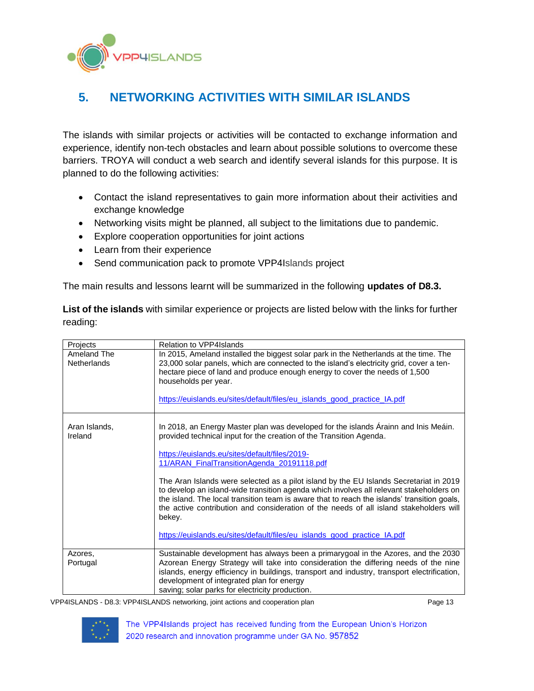**PHISLANDS** 

# <span id="page-12-0"></span>**5. NETWORKING ACTIVITIES WITH SIMILAR ISLANDS**

The islands with similar projects or activities will be contacted to exchange information and experience, identify non-tech obstacles and learn about possible solutions to overcome these barriers. TROYA will conduct a web search and identify several islands for this purpose. It is planned to do the following activities:

- Contact the island representatives to gain more information about their activities and exchange knowledge
- Networking visits might be planned, all subject to the limitations due to pandemic.
- Explore cooperation opportunities for joint actions
- Learn from their experience
- Send communication pack to promote VPP4Islands project

The main results and lessons learnt will be summarized in the following **updates of D8.3.**

**List of the islands** with similar experience or projects are listed below with the links for further reading:

| Projects                          | <b>Relation to VPP4Islands</b>                                                                                                                                                                                                                                                                                                                                                                                                                                   |
|-----------------------------------|------------------------------------------------------------------------------------------------------------------------------------------------------------------------------------------------------------------------------------------------------------------------------------------------------------------------------------------------------------------------------------------------------------------------------------------------------------------|
| Ameland The<br><b>Netherlands</b> | In 2015, Ameland installed the biggest solar park in the Netherlands at the time. The<br>23,000 solar panels, which are connected to the island's electricity grid, cover a ten-<br>hectare piece of land and produce enough energy to cover the needs of 1,500<br>households per year.<br>https://euislands.eu/sites/default/files/eu_islands_good_practice_IA.pdf                                                                                              |
| Aran Islands,<br>Ireland          | In 2018, an Energy Master plan was developed for the islands Arainn and Inis Meáin.<br>provided technical input for the creation of the Transition Agenda.<br>https://euislands.eu/sites/default/files/2019-<br>11/ARAN FinalTransitionAgenda 20191118.pdf                                                                                                                                                                                                       |
|                                   | The Aran Islands were selected as a pilot island by the EU Islands Secretariat in 2019<br>to develop an island-wide transition agenda which involves all relevant stakeholders on<br>the island. The local transition team is aware that to reach the islands' transition goals,<br>the active contribution and consideration of the needs of all island stakeholders will<br>bekey.<br>https://euislands.eu/sites/default/files/eu_islands_good_practice_IA.pdf |
|                                   |                                                                                                                                                                                                                                                                                                                                                                                                                                                                  |
| Azores,<br>Portugal               | Sustainable development has always been a primarygoal in the Azores, and the 2030<br>Azorean Energy Strategy will take into consideration the differing needs of the nine<br>islands, energy efficiency in buildings, transport and industry, transport electrification,<br>development of integrated plan for energy<br>saving; solar parks for electricity production.                                                                                         |

VPP4ISLANDS - D8.3: VPP4ISLANDS networking, joint actions and cooperation plan Page 13

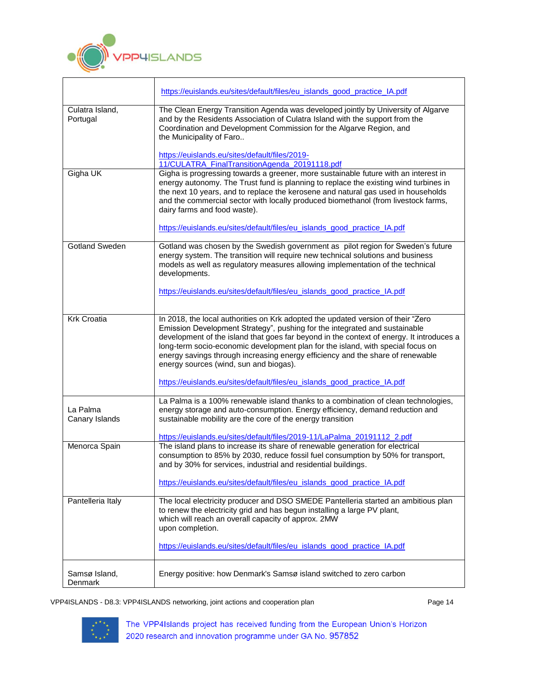

|                             | https://euislands.eu/sites/default/files/eu_islands_good_practice_IA.pdf                                                                                                                                                                                                                                                                                                                                                                                                                                                                              |
|-----------------------------|-------------------------------------------------------------------------------------------------------------------------------------------------------------------------------------------------------------------------------------------------------------------------------------------------------------------------------------------------------------------------------------------------------------------------------------------------------------------------------------------------------------------------------------------------------|
| Culatra Island,<br>Portugal | The Clean Energy Transition Agenda was developed jointly by University of Algarve<br>and by the Residents Association of Culatra Island with the support from the<br>Coordination and Development Commission for the Algarve Region, and<br>the Municipality of Faro<br>https://euislands.eu/sites/default/files/2019-                                                                                                                                                                                                                                |
|                             | 11/CULATRA_FinalTransitionAgenda_20191118.pdf                                                                                                                                                                                                                                                                                                                                                                                                                                                                                                         |
| Gigha UK                    | Gigha is progressing towards a greener, more sustainable future with an interest in<br>energy autonomy. The Trust fund is planning to replace the existing wind turbines in<br>the next 10 years, and to replace the kerosene and natural gas used in households<br>and the commercial sector with locally produced biomethanol (from livestock farms,<br>dairy farms and food waste).<br>https://euislands.eu/sites/default/files/eu_islands_good_practice_IA.pdf                                                                                    |
| <b>Gotland Sweden</b>       | Gotland was chosen by the Swedish government as pilot region for Sweden's future<br>energy system. The transition will require new technical solutions and business<br>models as well as regulatory measures allowing implementation of the technical<br>developments.                                                                                                                                                                                                                                                                                |
|                             | https://euislands.eu/sites/default/files/eu_islands_good_practice_IA.pdf                                                                                                                                                                                                                                                                                                                                                                                                                                                                              |
| <b>Krk Croatia</b>          | In 2018, the local authorities on Krk adopted the updated version of their "Zero<br>Emission Development Strategy", pushing for the integrated and sustainable<br>development of the island that goes far beyond in the context of energy. It introduces a<br>long-term socio-economic development plan for the island, with special focus on<br>energy savings through increasing energy efficiency and the share of renewable<br>energy sources (wind, sun and biogas).<br>https://euislands.eu/sites/default/files/eu_islands_good_practice_IA.pdf |
| La Palma<br>Canary Islands  | La Palma is a 100% renewable island thanks to a combination of clean technologies,<br>energy storage and auto-consumption. Energy efficiency, demand reduction and<br>sustainable mobility are the core of the energy transition                                                                                                                                                                                                                                                                                                                      |
|                             | https://euislands.eu/sites/default/files/2019-11/LaPalma_20191112_2.pdf                                                                                                                                                                                                                                                                                                                                                                                                                                                                               |
| Menorca Spain               | The island plans to increase its share of renewable generation for electrical<br>consumption to 85% by 2030, reduce fossil fuel consumption by 50% for transport,<br>and by 30% for services, industrial and residential buildings.<br>https://euislands.eu/sites/default/files/eu_islands_good_practice_IA.pdf                                                                                                                                                                                                                                       |
| Pantelleria Italy           | The local electricity producer and DSO SMEDE Pantelleria started an ambitious plan<br>to renew the electricity grid and has begun installing a large PV plant,<br>which will reach an overall capacity of approx. 2MW<br>upon completion.<br>https://euislands.eu/sites/default/files/eu_islands_good_practice_IA.pdf                                                                                                                                                                                                                                 |
| Samsø Island,<br>Denmark    | Energy positive: how Denmark's Samsø island switched to zero carbon                                                                                                                                                                                                                                                                                                                                                                                                                                                                                   |

┑

VPP4ISLANDS - D8.3: VPP4ISLANDS networking, joint actions and cooperation plan Page 14

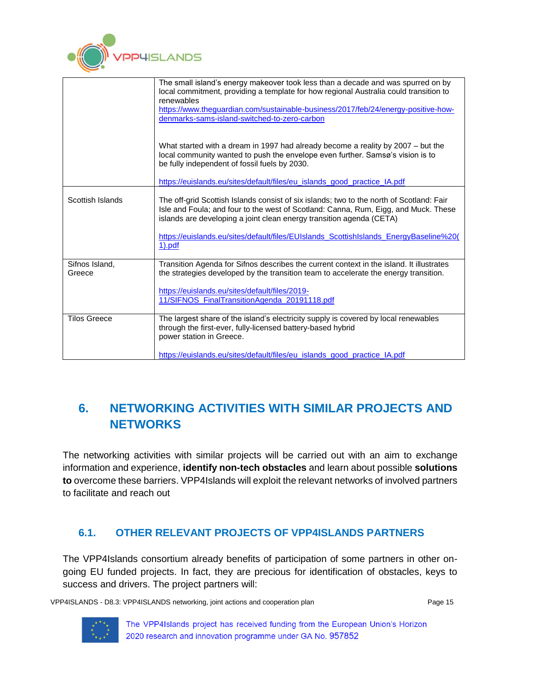

|                          | The small island's energy makeover took less than a decade and was spurred on by<br>local commitment, providing a template for how regional Australia could transition to<br>renewables                                                                 |
|--------------------------|---------------------------------------------------------------------------------------------------------------------------------------------------------------------------------------------------------------------------------------------------------|
|                          | https://www.theguardian.com/sustainable-business/2017/feb/24/energy-positive-how-                                                                                                                                                                       |
|                          | denmarks-sams-island-switched-to-zero-carbon                                                                                                                                                                                                            |
|                          |                                                                                                                                                                                                                                                         |
|                          | What started with a dream in 1997 had already become a reality by 2007 - but the<br>local community wanted to push the envelope even further. Samsø's vision is to<br>be fully independent of fossil fuels by 2030.                                     |
|                          | https://euislands.eu/sites/default/files/eu islands good practice IA.pdf                                                                                                                                                                                |
| Scottish Islands         | The off-grid Scottish Islands consist of six islands; two to the north of Scotland: Fair<br>Isle and Foula; and four to the west of Scotland: Canna, Rum, Eigg, and Muck. These<br>islands are developing a joint clean energy transition agenda (CETA) |
|                          | https://euislands.eu/sites/default/files/EUIslands_ScottishIslands_EnergyBaseline%20(<br><u>1).pdf</u>                                                                                                                                                  |
| Sifnos Island.<br>Greece | Transition Agenda for Sifnos describes the current context in the island. It illustrates<br>the strategies developed by the transition team to accelerate the energy transition.                                                                        |
|                          | https://euislands.eu/sites/default/files/2019-<br>11/SIFNOS FinalTransitionAgenda 20191118.pdf                                                                                                                                                          |
| <b>Tilos Greece</b>      | The largest share of the island's electricity supply is covered by local renewables<br>through the first-ever, fully-licensed battery-based hybrid<br>power station in Greece.                                                                          |
|                          | https://euislands.eu/sites/default/files/eu islands good practice IA.pdf                                                                                                                                                                                |

# <span id="page-14-0"></span>**6. NETWORKING ACTIVITIES WITH SIMILAR PROJECTS AND NETWORKS**

The networking activities with similar projects will be carried out with an aim to exchange information and experience, **identify non-tech obstacles** and learn about possible **solutions to** overcome these barriers. VPP4Islands will exploit the relevant networks of involved partners to facilitate and reach out

## <span id="page-14-1"></span>**6.1. OTHER RELEVANT PROJECTS OF VPP4ISLANDS PARTNERS**

The VPP4Islands consortium already benefits of participation of some partners in other ongoing EU funded projects. In fact, they are precious for identification of obstacles, keys to success and drivers. The project partners will:

VPP4ISLANDS - D8.3: VPP4ISLANDS networking, joint actions and cooperation plan Page 15

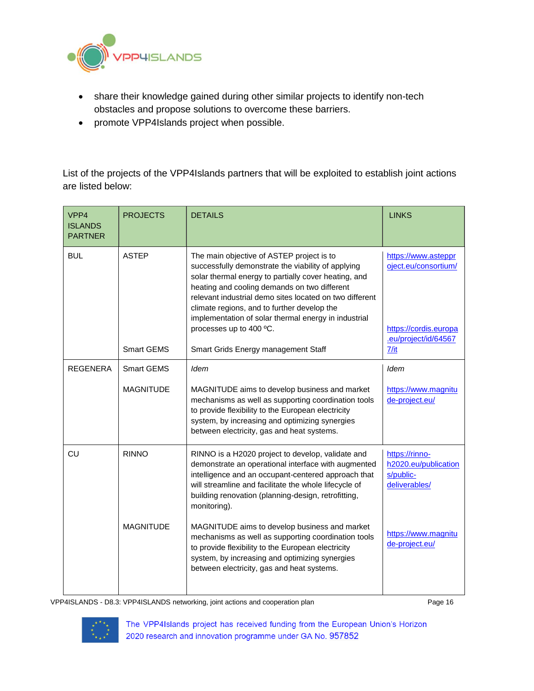

- share their knowledge gained during other similar projects to identify non-tech obstacles and propose solutions to overcome these barriers.
- promote VPP4Islands project when possible.

List of the projects of the VPP4Islands partners that will be exploited to establish joint actions are listed below:

| VPP4<br><b>ISLANDS</b><br><b>PARTNER</b> | <b>PROJECTS</b>   | <b>DETAILS</b>                                                                                                                                                                                                                                                                                                                                                                                       | <b>LINKS</b>                                                                                 |
|------------------------------------------|-------------------|------------------------------------------------------------------------------------------------------------------------------------------------------------------------------------------------------------------------------------------------------------------------------------------------------------------------------------------------------------------------------------------------------|----------------------------------------------------------------------------------------------|
| <b>BUL</b>                               | <b>ASTEP</b>      | The main objective of ASTEP project is to<br>successfully demonstrate the viability of applying<br>solar thermal energy to partially cover heating, and<br>heating and cooling demands on two different<br>relevant industrial demo sites located on two different<br>climate regions, and to further develop the<br>implementation of solar thermal energy in industrial<br>processes up to 400 °C. | https://www.asteppr<br>oject.eu/consortium/<br>https://cordis.europa<br>.eu/project/id/64567 |
|                                          | <b>Smart GEMS</b> | Smart Grids Energy management Staff                                                                                                                                                                                                                                                                                                                                                                  | 7/it                                                                                         |
| REGENERA                                 | <b>Smart GEMS</b> | Idem                                                                                                                                                                                                                                                                                                                                                                                                 | <b>Idem</b>                                                                                  |
|                                          | <b>MAGNITUDE</b>  | MAGNITUDE aims to develop business and market<br>mechanisms as well as supporting coordination tools<br>to provide flexibility to the European electricity<br>system, by increasing and optimizing synergies<br>between electricity, gas and heat systems.                                                                                                                                           | https://www.magnitu<br>de-project.eu/                                                        |
| CU                                       | <b>RINNO</b>      | RINNO is a H2020 project to develop, validate and<br>demonstrate an operational interface with augmented<br>intelligence and an occupant-centered approach that<br>will streamline and facilitate the whole lifecycle of<br>building renovation (planning-design, retrofitting,<br>monitoring).                                                                                                      | https://rinno-<br>h2020.eu/publication<br>s/public-<br>deliverables/                         |
|                                          | <b>MAGNITUDE</b>  | MAGNITUDE aims to develop business and market<br>mechanisms as well as supporting coordination tools<br>to provide flexibility to the European electricity<br>system, by increasing and optimizing synergies<br>between electricity, gas and heat systems.                                                                                                                                           | https://www.magnitu<br>de-project.eu/                                                        |

VPP4ISLANDS - D8.3: VPP4ISLANDS networking, joint actions and cooperation plan Page 16

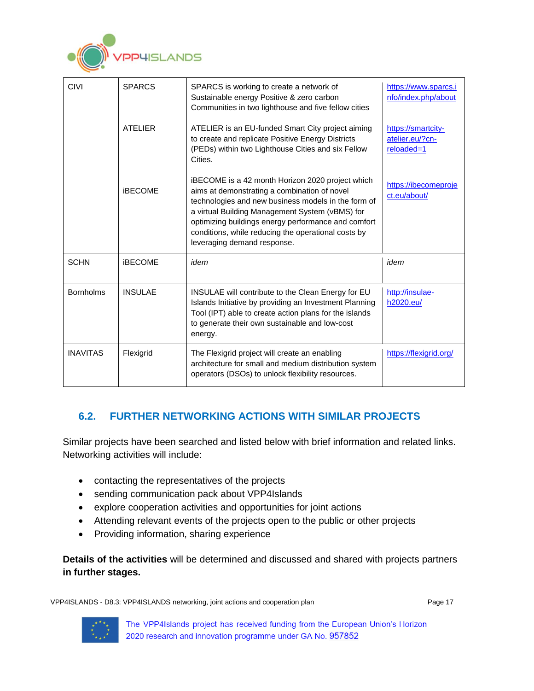

| CIVI             | <b>SPARCS</b>  | SPARCS is working to create a network of<br>Sustainable energy Positive & zero carbon<br>Communities in two lighthouse and five fellow cities                                                                                                                                                                                                           | https://www.sparcs.i<br>nfo/index.php/about         |
|------------------|----------------|---------------------------------------------------------------------------------------------------------------------------------------------------------------------------------------------------------------------------------------------------------------------------------------------------------------------------------------------------------|-----------------------------------------------------|
|                  | <b>ATFLIFR</b> | ATELIER is an EU-funded Smart City project aiming<br>to create and replicate Positive Energy Districts<br>(PEDs) within two Lighthouse Cities and six Fellow<br>Cities.                                                                                                                                                                                 | https://smartcity-<br>atelier.eu/?cn-<br>reloaded=1 |
|                  | <b>iBECOME</b> | iBECOME is a 42 month Horizon 2020 project which<br>aims at demonstrating a combination of novel<br>technologies and new business models in the form of<br>a virtual Building Management System (vBMS) for<br>optimizing buildings energy performance and comfort<br>conditions, while reducing the operational costs by<br>leveraging demand response. | https://ibecomeproje<br>ct.eu/about/                |
| <b>SCHN</b>      | <b>iBECOME</b> | idem                                                                                                                                                                                                                                                                                                                                                    | idem                                                |
| <b>Bornholms</b> | <b>INSULAE</b> | INSULAE will contribute to the Clean Energy for EU<br>Islands Initiative by providing an Investment Planning<br>Tool (IPT) able to create action plans for the islands<br>to generate their own sustainable and low-cost<br>energy.                                                                                                                     | http://insulae-<br>h2020.eu/                        |
| <b>INAVITAS</b>  | Flexigrid      | The Flexigrid project will create an enabling<br>architecture for small and medium distribution system<br>operators (DSOs) to unlock flexibility resources.                                                                                                                                                                                             | https://flexigrid.org/                              |

## <span id="page-16-0"></span>**6.2. FURTHER NETWORKING ACTIONS WITH SIMILAR PROJECTS**

Similar projects have been searched and listed below with brief information and related links. Networking activities will include:

- contacting the representatives of the projects
- sending communication pack about VPP4Islands
- explore cooperation activities and opportunities for joint actions
- Attending relevant events of the projects open to the public or other projects
- Providing information, sharing experience

**Details of the activities** will be determined and discussed and shared with projects partners **in further stages.**

VPP4ISLANDS - D8.3: VPP4ISLANDS networking, joint actions and cooperation plan Page 17

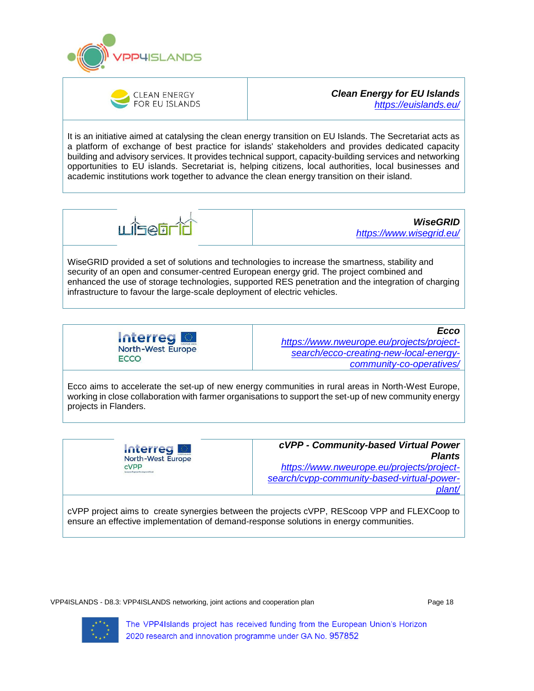



#### *Clean Energy for EU Islands <https://euislands.eu/>*

It is an initiative aimed at catalysing the clean energy transition on EU Islands. The Secretariat acts as a platform of exchange of best practice for islands' stakeholders and provides dedicated capacity building and advisory services. It provides technical support, capacity-building services and networking opportunities to EU islands. Secretariat is, helping citizens, local authorities, local businesses and academic institutions work together to advance the clean energy transition on their island.



*WiseGRID <https://www.wisegrid.eu/>*

WiseGRID provided a set of solutions and technologies to increase the smartness, stability and security of an open and consumer-centred European energy grid. The project combined and enhanced the use of storage technologies, supported RES penetration and the integration of charging infrastructure to favour the large-scale deployment of electric vehicles.



*Ecco [https://www.nweurope.eu/projects/project](https://www.nweurope.eu/projects/project-search/ecco-creating-new-local-energy-community-co-operatives/)[search/ecco-creating-new-local-energy](https://www.nweurope.eu/projects/project-search/ecco-creating-new-local-energy-community-co-operatives/)[community-co-operatives/](https://www.nweurope.eu/projects/project-search/ecco-creating-new-local-energy-community-co-operatives/)*

Ecco aims to accelerate the set-up of new energy communities in rural areas in North-West Europe, working in close collaboration with farmer organisations to support the set-up of new community energy projects in Flanders.

> **Interreg M North-West Europe** cVPP

*cVPP - Community-based Virtual Power Plants [https://www.nweurope.eu/projects/project](https://www.nweurope.eu/projects/project-search/cvpp-community-based-virtual-power-plant/)[search/cvpp-community-based-virtual-power](https://www.nweurope.eu/projects/project-search/cvpp-community-based-virtual-power-plant/)[plant/](https://www.nweurope.eu/projects/project-search/cvpp-community-based-virtual-power-plant/)*

cVPP project aims to create synergies between the projects cVPP, REScoop VPP and FLEXCoop to ensure an effective implementation of demand-response solutions in energy communities.

VPP4ISLANDS - D8.3: VPP4ISLANDS networking, joint actions and cooperation plan Page 18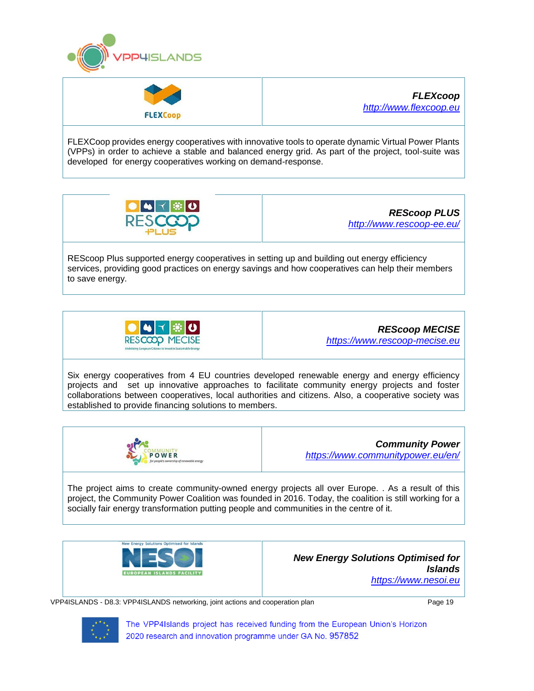



*FLEXcoop [http://www.flexcoop.eu](http://www.flexcoop.eu/)*

FLEXCoop provides energy cooperatives with innovative tools to operate dynamic Virtual Power Plants (VPPs) in order to achieve a stable and balanced energy grid. As part of the project, tool-suite was developed for energy cooperatives working on demand-response.



*REScoop PLUS <http://www.rescoop-ee.eu/>*

REScoop Plus supported energy cooperatives in setting up and building out energy efficiency services, providing good practices on energy savings and how cooperatives can help their members to save energy.



*REScoop MECISE [https://www.rescoop-mecise.eu](https://www.rescoop-mecise.eu/)*

Six energy cooperatives from 4 EU countries developed renewable energy and energy efficiency projects and set up innovative approaches to facilitate community energy projects and foster collaborations between cooperatives, local authorities and citizens. Also, a cooperative society was established to provide financing solutions to members.



*Community Power <https://www.communitypower.eu/en/>*

The project aims to create community-owned energy projects all over Europe. . As a result of this project, the Community Power Coalition was founded in 2016. Today, the coalition is still working for a socially fair energy transformation putting people and communities in the centre of it.





VPP4ISLANDS - D8.3: VPP4ISLANDS networking, joint actions and cooperation plan Page 19

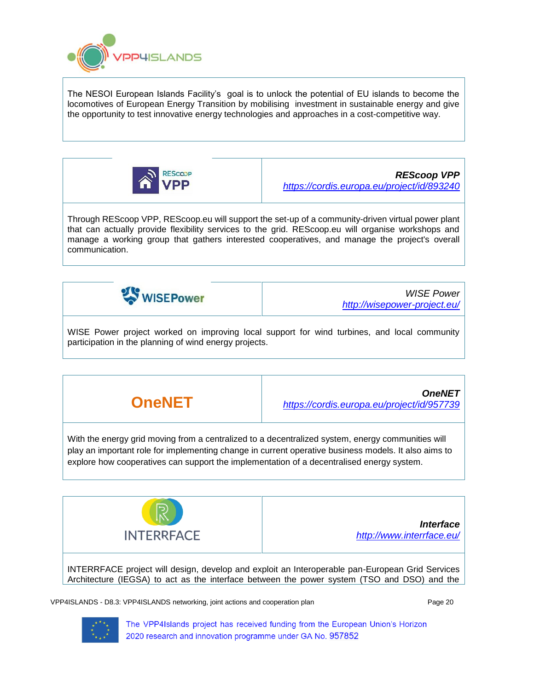

The NESOI European Islands Facility's goal is to unlock the potential of EU islands to become the locomotives of European Energy Transition by mobilising investment in sustainable energy and give the opportunity to test innovative energy technologies and approaches in a cost-competitive way.



*REScoop VPP <https://cordis.europa.eu/project/id/893240>*

Through REScoop VPP, REScoop.eu will support the set-up of a community-driven virtual power plant that can actually provide flexibility services to the grid. REScoop.eu will organise workshops and manage a working group that gathers interested cooperatives, and manage the project's overall communication.



*WISE Power <http://wisepower-project.eu/>*

WISE Power project worked on improving local support for wind turbines, and local community participation in the planning of wind energy projects.

**OneNET** *OneNET <https://cordis.europa.eu/project/id/957739>*

With the energy grid moving from a centralized to a decentralized system, energy communities will play an important role for implementing change in current operative business models. It also aims to explore how cooperatives can support the implementation of a decentralised energy system.



INTERRFACE project will design, develop and exploit an Interoperable pan-European Grid Services Architecture (IEGSA) to act as the interface between the power system (TSO and DSO) and the

VPP4ISLANDS - D8.3: VPP4ISLANDS networking, joint actions and cooperation plan Page 20 Page 20

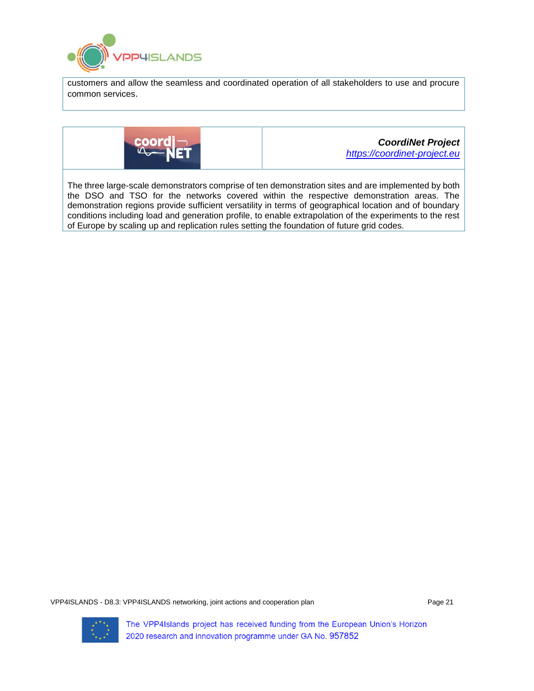

customers and allow the seamless and coordinated operation of all stakeholders to use and procure common services.



*CoordiNet Project [https://coordinet-project.eu](https://coordinet-project.eu/)*

<span id="page-20-0"></span>The three large-scale demonstrators comprise of ten demonstration sites and are implemented by both the DSO and TSO for the networks covered within the respective demonstration areas. The demonstration regions provide sufficient versatility in terms of geographical location and of boundary conditions including load and generation profile, to enable extrapolation of the experiments to the rest of Europe by scaling up and replication rules setting the foundation of future grid codes.

VPP4ISLANDS - D8.3: VPP4ISLANDS networking, joint actions and cooperation plan Page 21 Page 21

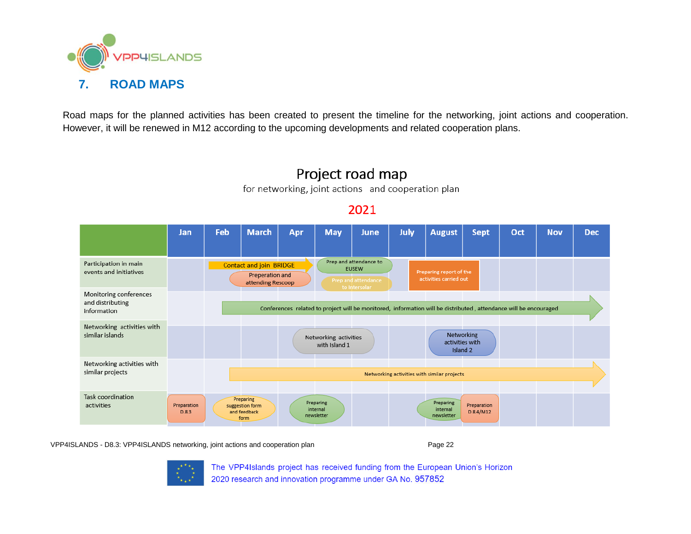

Road maps for the planned activities has been created to present the timeline for the networking, joint actions and cooperation. However, it will be renewed in M12 according to the upcoming developments and related cooperation plans.



# Project road map

for networking, joint actions and cooperation plan

2021

VPP4ISLANDS - D8.3: VPP4ISLANDS networking, joint actions and cooperation plan Page 22 Page 22

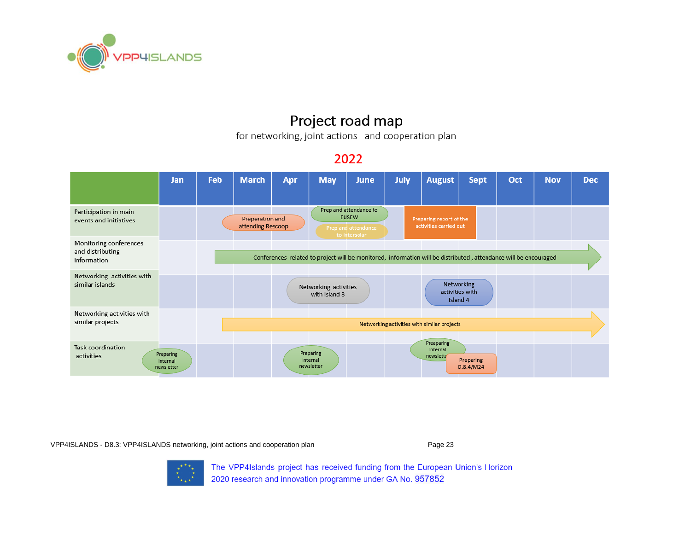

# Project road map

for networking, joint actions and cooperation plan

## 2022



VPP4ISLANDS - D8.3: VPP4ISLANDS networking, joint actions and cooperation plan Page 23

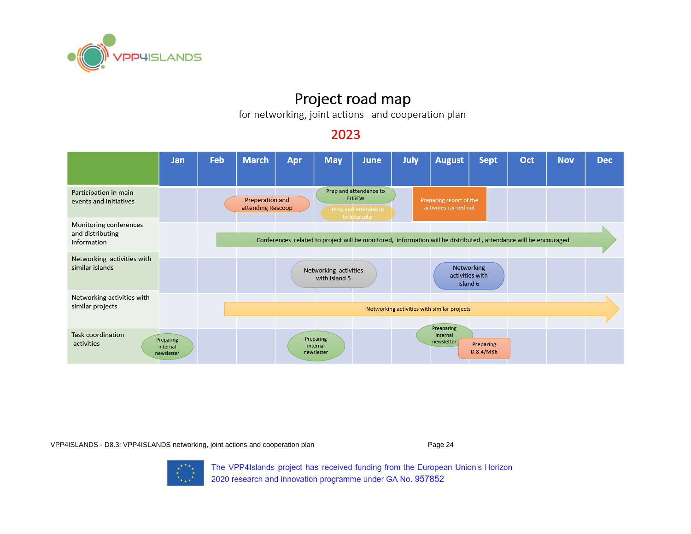

# Project road map

for networking, joint actions and cooperation plan

## 2023



VPP4ISLANDS - D8.3: VPP4ISLANDS networking, joint actions and cooperation plan Page 24 Page 24

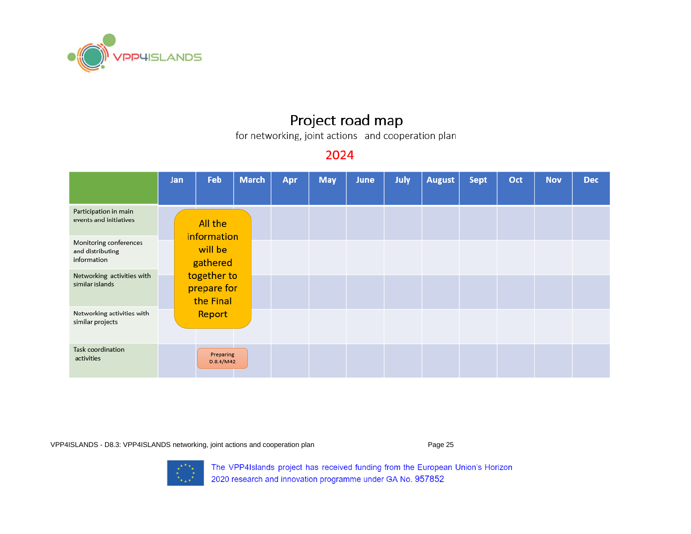

# Project road map

for networking, joint actions and cooperation plan

## 2024

|                                                           | Jan | Feb                                     | <b>March</b> | Apr | <b>May</b> | <b>June</b> | July | <b>August</b> | <b>Sept</b> | Oct | <b>Nov</b> | <b>Dec</b> |
|-----------------------------------------------------------|-----|-----------------------------------------|--------------|-----|------------|-------------|------|---------------|-------------|-----|------------|------------|
| Participation in main<br>events and initiatives           |     | All the<br>information                  |              |     |            |             |      |               |             |     |            |            |
| Monitoring conferences<br>and distributing<br>information |     | will be<br>gathered                     |              |     |            |             |      |               |             |     |            |            |
| Networking activities with<br>similar islands             |     | together to<br>prepare for<br>the Final |              |     |            |             |      |               |             |     |            |            |
| Networking activities with<br>similar projects            |     | Report                                  |              |     |            |             |      |               |             |     |            |            |
| Task coordination<br>activities                           |     | Preparing<br>D.8.4/M42                  |              |     |            |             |      |               |             |     |            |            |

VPP4ISLANDS - D8.3: VPP4ISLANDS networking, joint actions and cooperation plan Page 25